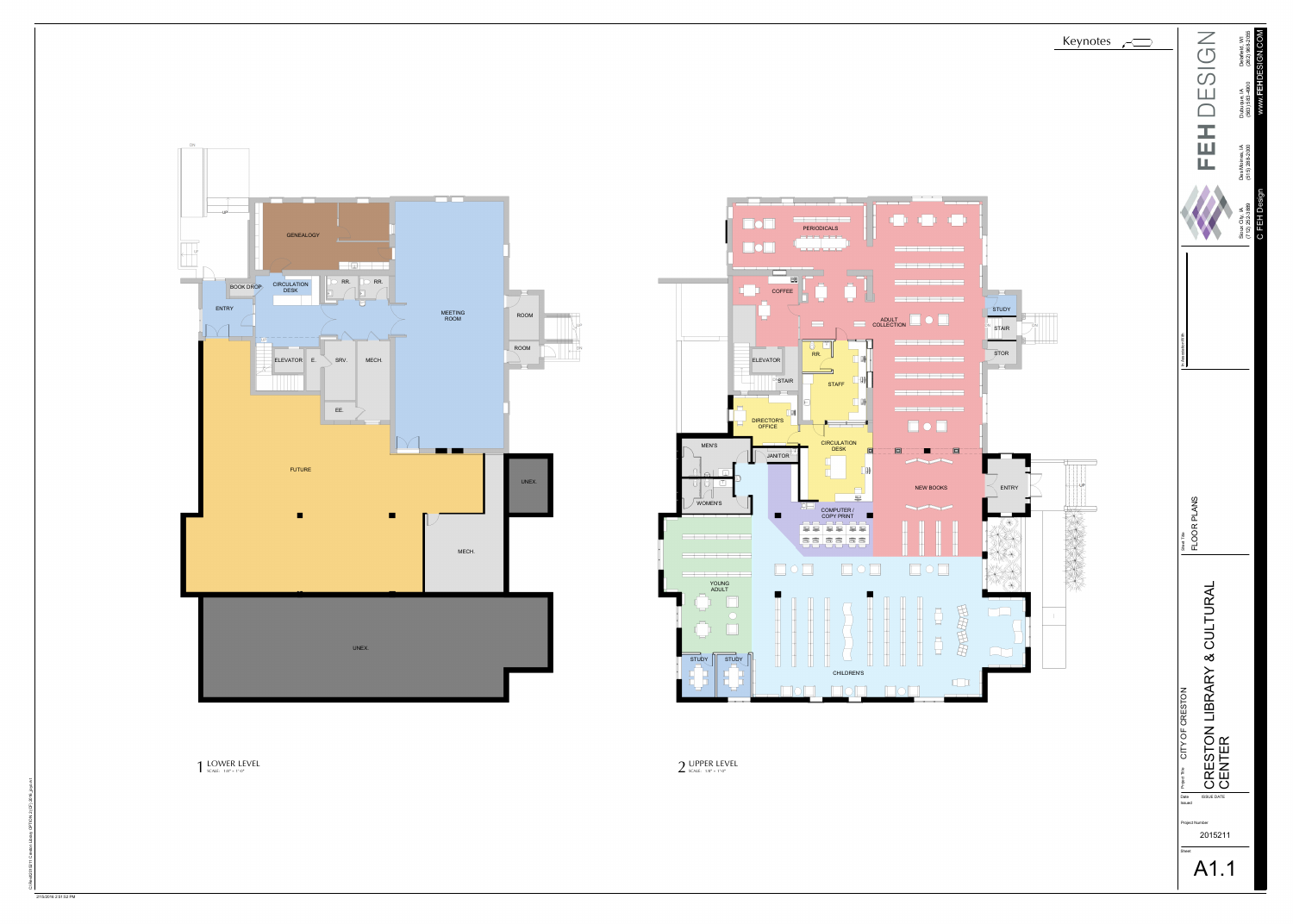

Keynotes Reserves

**DN GENEALOGY**  $\Box$ RR. RR. CIRCULATION **BOOK DROP** DESK ENTRY  $-\sqrt{2}$  $\begin{array}{|c|c|c|c|c|}\n\hline \text{ELEVATOR} & \text{E.} & \text{SRV.}\n\end{array}$ MECH. EE. <u>to provide t</u> FUTURE **TERS** UNEX.

 $\begin{array}{ll}\n\textbf{LOWER LEVEL} \\
\textbf{SCALE: } & 1/8" = 1'-0"\n\end{array}$ 



2/15/2016 2:51:52 PM

## $2$  UPPER LEVEL